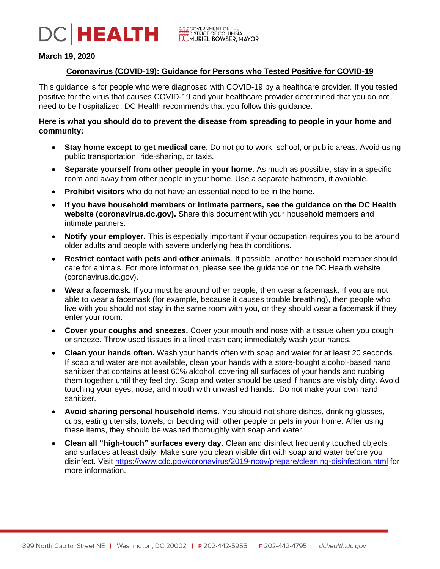

# **March 19, 2020**

# **Coronavirus (COVID-19): Guidance for Persons who Tested Positive for COVID-19**

This guidance is for people who were diagnosed with COVID-19 by a healthcare provider. If you tested positive for the virus that causes COVID-19 and your healthcare provider determined that you do not need to be hospitalized, DC Health recommends that you follow this guidance.

# **Here is what you should do to prevent the disease from spreading to people in your home and community:**

- **Stay home except to get medical care**. Do not go to work, school, or public areas. Avoid using public transportation, ride-sharing, or taxis.
- **Separate yourself from other people in your home**. As much as possible, stay in a specific room and away from other people in your home. Use a separate bathroom, if available.
- **Prohibit visitors** who do not have an essential need to be in the home.
- **If you have household members or intimate partners, see the guidance on the DC Health website (coronavirus.dc.gov).** Share this document with your household members and intimate partners.
- **Notify your employer.** This is especially important if your occupation requires you to be around older adults and people with severe underlying health conditions.
- **Restrict contact with pets and other animals**. If possible, another household member should care for animals. For more information, please see the guidance on the DC Health website (coronavirus.dc.gov).
- **Wear a facemask.** If you must be around other people, then wear a facemask. If you are not able to wear a facemask (for example, because it causes trouble breathing), then people who live with you should not stay in the same room with you, or they should wear a facemask if they enter your room.
- **Cover your coughs and sneezes.** Cover your mouth and nose with a tissue when you cough or sneeze. Throw used tissues in a lined trash can; immediately wash your hands.
- **Clean your hands often.** Wash your hands often with soap and water for at least 20 seconds. If soap and water are not available, clean your hands with a store-bought alcohol-based hand sanitizer that contains at least 60% alcohol, covering all surfaces of your hands and rubbing them together until they feel dry. Soap and water should be used if hands are visibly dirty. Avoid touching your eyes, nose, and mouth with unwashed hands. Do not make your own hand sanitizer.
- **Avoid sharing personal household items.** You should not share dishes, drinking glasses, cups, eating utensils, towels, or bedding with other people or pets in your home. After using these items, they should be washed thoroughly with soap and water.
- **Clean all "high-touch" surfaces every day**. [Clean and disinfect](https://www.cdc.gov/coronavirus/2019-ncov/community/home/cleaning-disinfection.html) frequently touched objects and surfaces at least daily. Make sure you clean visible dirt with soap and water before you disinfect. Visit<https://www.cdc.gov/coronavirus/2019-ncov/prepare/cleaning-disinfection.html> for more information.